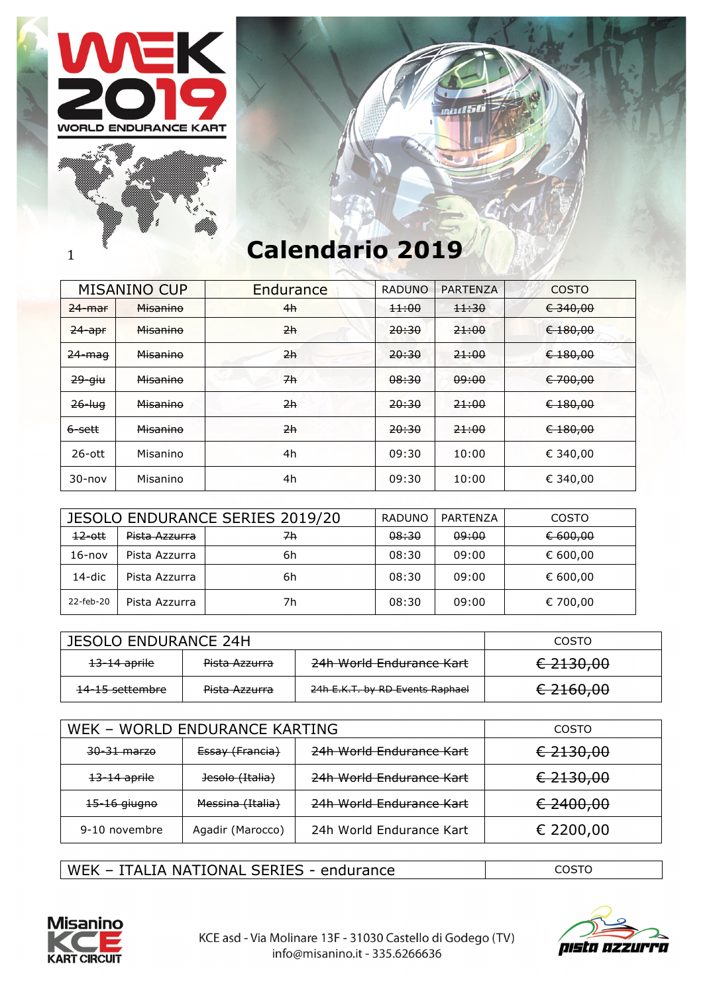





## 1 **Calendario 2019**

|                   | <b>MISANINO CUP</b> | Endurance       | <b>RADUNO</b> | <b>PARTENZA</b> | <b>COSTO</b> |
|-------------------|---------------------|-----------------|---------------|-----------------|--------------|
| $24 - $ mar       | Misanino            | 4h              | 11:00         | 11:30           | € 340,00     |
| $24$ -apr         | <b>Misanino</b>     | 2h              | 20:30         | 21:00           | $6 - 180,00$ |
| <del>24-mag</del> | Misanino            | 2h              | 20:30         | 21:00           | € 180,00     |
| $29 -$ giu        | Misanino            | $\overline{7h}$ | 08:30         | 09:00           | € 700,00     |
| $26$ -luq         | Misanino            | 2h              | 20:30         | 21:00           | € 180,00     |
| 6-sett            | Misanino            | 2h              | 20:30         | 21:00           | € 180,00     |
| $26$ -ott         | Misanino            | 4h              | 09:30         | 10:00           | € 340,00     |
| $30 - nov$        | Misanino            | 4h              | 09:30         | 10:00           | € 340,00     |

|            |               | <b>JESOLO ENDURANCE SERIES 2019/20</b> | RADUNO | PARTENZA | <b>COSTO</b> |
|------------|---------------|----------------------------------------|--------|----------|--------------|
| $12$ -ott  | Pista Azzurra | 7h                                     | 08:30  | 09:00    | € 600,00     |
| $16 - nov$ | Pista Azzurra | 6h                                     | 08:30  | 09:00    | € 600,00     |
| 14-dic     | Pista Azzurra | 6h                                     | 08:30  | 09:00    | € 600,00     |
| 22-feb-20  | Pista Azzurra | 7h                                     | 08:30  | 09:00    | € 700,00     |

| JESOLO ENDURANCE 24H       |               |                                 | COSTO     |
|----------------------------|---------------|---------------------------------|-----------|
| <del>13–14 aprile</del>    | Pista Azzurra | 24h World Endurance Kart        | € 2130,00 |
| <del>14-15 settembre</del> | Pista Azzurra | 24h E.K.T. by RD Events Raphael | € 2160,00 |

| WEK - WORLD ENDURANCE KARTING |                  |                          | COSTO     |
|-------------------------------|------------------|--------------------------|-----------|
| 30-31 marze                   | Essay (Francia)  | 24h World Endurance Kart | € 2130,00 |
| <del>13-14 aprile</del>       | Jesolo (Italia)  | 24h World Endurance Kart | € 2130,00 |
| <del>15-16 giugno</del>       | Messina (Italia) | 24h World Endurance Kart | € 2400,00 |
| 9-10 novembre                 | Agadir (Marocco) | 24h World Endurance Kart | € 2200,00 |

WEK – ITALIA NATIONAL SERIES - endurance and the costo